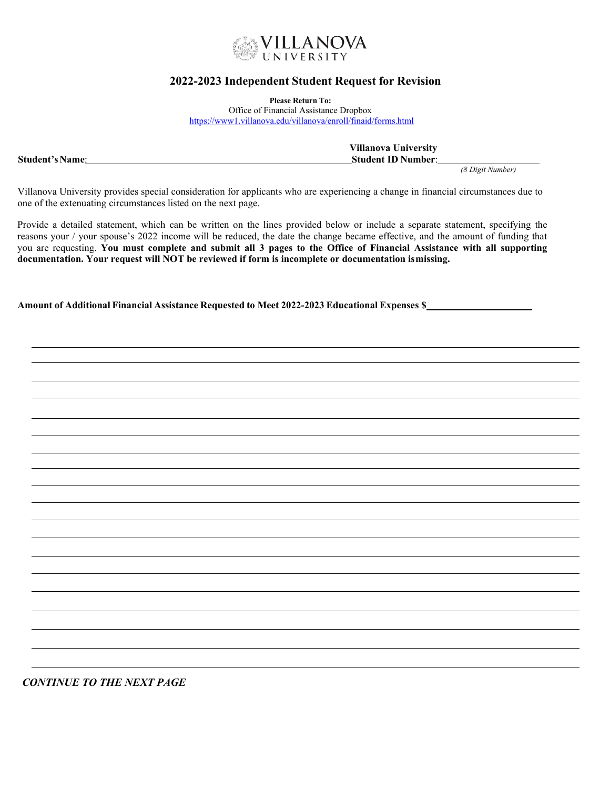

# **2022-2023 Independent Student Request for Revision**

**Please Return To:**

Office of Financial Assistance Dropbox <https://www1.villanova.edu/villanova/enroll/finaid/forms.html>

|                        | <b>Villanova University</b> |
|------------------------|-----------------------------|
| <b>Student's Name:</b> | <b>Student ID Number:</b>   |
|                        |                             |

*(8 Digit Number)*

Villanova University provides special consideration for applicants who are experiencing a change in financial circumstances due to one of the extenuating circumstances listed on the next page.

Provide a detailed statement, which can be written on the lines provided below or include a separate statement, specifying the reasons your / your spouse's 2022 income will be reduced, the date the change became effective, and the amount of funding that you are requesting. **You must complete and submit all 3 pages to the Office of Financial Assistance with all supporting documentation. Your request will NOT be reviewed if form is incomplete or documentation ismissing.**

**Amount of Additional Financial Assistance Requested to Meet 2022-2023 Educational Expenses \$** 

*CONTINUE TO THE NEXT PAGE*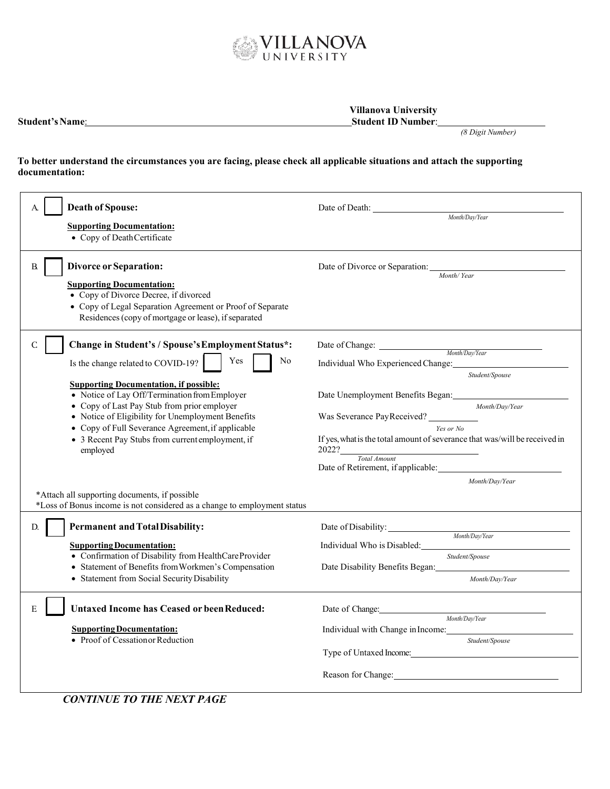

| <b>Student's Name:</b> | <b>Villanova University</b><br><b>Student ID Number:</b> |                  |
|------------------------|----------------------------------------------------------|------------------|
|                        |                                                          | (8 Digit Number) |

## **To better understand the circumstances you are facing, please check all applicable situations and attach the supporting documentation:**

| <b>Death of Spouse:</b><br><b>Supporting Documentation:</b><br>• Copy of Death Certificate                                                                                                                                                                                                                                                                                                                                                       | Date of Death:<br>Month/Day/Year                                                                                                                                                                                                                                                                                                      |
|--------------------------------------------------------------------------------------------------------------------------------------------------------------------------------------------------------------------------------------------------------------------------------------------------------------------------------------------------------------------------------------------------------------------------------------------------|---------------------------------------------------------------------------------------------------------------------------------------------------------------------------------------------------------------------------------------------------------------------------------------------------------------------------------------|
| <b>Divorce or Separation:</b><br>B.<br><b>Supporting Documentation:</b><br>• Copy of Divorce Decree, if divorced<br>• Copy of Legal Separation Agreement or Proof of Separate<br>Residences (copy of mortgage or lease), if separated                                                                                                                                                                                                            | Date of Divorce or Separation:<br>Month/Year                                                                                                                                                                                                                                                                                          |
| Change in Student's / Spouse's Employment Status*:<br>$\mathsf{C}$<br>Yes<br>No<br>Is the change related to COVID-19?<br><b>Supporting Documentation, if possible:</b><br>• Notice of Lay Off/Termination from Employer<br>• Copy of Last Pay Stub from prior employer<br>• Notice of Eligibility for Unemployment Benefits<br>• Copy of Full Severance Agreement, if applicable<br>• 3 Recent Pay Stubs from current employment, if<br>employed | Date of Change: Month/Day/Year<br>Individual Who Experienced Change:<br>Student/Spouse<br>Date Unemployment Benefits Began:<br>Month/Day/Year<br>Was Severance PayReceived?<br>Yes or No<br>If yes, what is the total amount of severance that was/will be received in<br>2022?<br>Total Amount<br>Date of Retirement, if applicable: |
| *Attach all supporting documents, if possible<br>*Loss of Bonus income is not considered as a change to employment status                                                                                                                                                                                                                                                                                                                        | Month/Dav/Year                                                                                                                                                                                                                                                                                                                        |
| <b>Permanent and Total Disability:</b><br>D.<br><b>Supporting Documentation:</b><br>• Confirmation of Disability from HealthCareProvider<br>• Statement of Benefits from Workmen's Compensation<br>• Statement from Social Security Disability                                                                                                                                                                                                   | Date of Disability:<br>Month/Day/Year<br>Individual Who is Disabled:<br>Student/Spouse<br>Date Disability Benefits Began:<br>Month/Day/Year                                                                                                                                                                                           |
| <b>Untaxed Income has Ceased or been Reduced:</b><br>E<br><b>Supporting Documentation:</b><br>• Proof of Cessation or Reduction<br><b>CONTINUE TO THE NEXT PAGE</b>                                                                                                                                                                                                                                                                              | Date of Change:<br>Month/Day/Year<br>Individual with Change in Income:<br>Student/Spouse<br>Type of Untaxed Income: 1988<br>Reason for Change:                                                                                                                                                                                        |